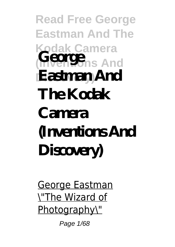**Read Free George Eastman And The Kodak Camera** *George* And **Discovery) Eastman And The Kodak Camera (Inventions And Discovery)**

George Eastman \"The Wizard of Photography\"

Page 1/68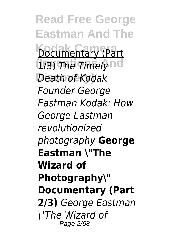**Read Free George Eastman And The Documentary (Part** *(173) The Timely* nd **Discovery)** *Death of Kodak Founder George Eastman Kodak: How George Eastman revolutionized photography* **George Eastman \"The Wizard of Photography\" Documentary (Part 2/3)** *George Eastman \"The Wizard of* Page 2/68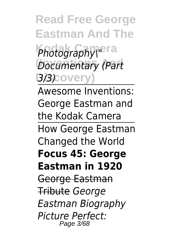**Read Free George Eastman And The Photography\"**era **Documentary (Part Discovery)** *3/3)*

Awesome Inventions: George Eastman and the Kodak Camera How George Eastman Changed the World **Focus 45: George Eastman in 1920** George Eastman Tribute *George Eastman Biography Picture Perfect:* Page 3/68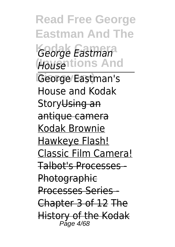**Read Free George Eastman And The Kodak Camera** *George Eastman* **(Inventions And** *House* **Discovery)** George Eastman's House and Kodak Story<del>Using an</del> antique camera Kodak Brownie Hawkeye Flash! Classic Film Camera! Talbot's Processes - **Photographic** Processes Series - Chapter 3 of 12 The History of the Kodak Page 4/68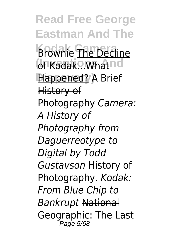**Read Free George Eastman And The Brownie** The Decline of Kodak... What nd **Discovery)** Happened? A Brief History of Photography *Camera: A History of Photography from Daguerreotype to Digital by Todd Gustavson* History of Photography. *Kodak: From Blue Chip to Bankrupt* National Geographic: The Last Page 5/68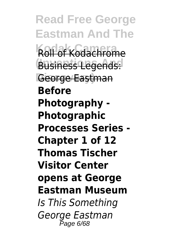**Read Free George Eastman And The Roll of Kodachrome** Business Legends: George Eastman **Before Photography - Photographic Processes Series - Chapter 1 of 12 Thomas Tischer Visitor Center opens at George Eastman Museum** *Is This Something George Eastman* Page 6/68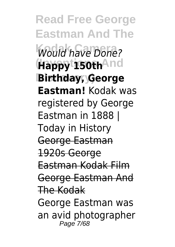**Read Free George Eastman And The Would have Done? (Inventions And Happy 150th Discovery) Birthday, George Eastman!** Kodak was registered by George Eastman in 1888 | Today in History George Eastman 1920s George Eastman Kodak Film George Eastman And The Kodak George Eastman was an avid photographer Page 7/68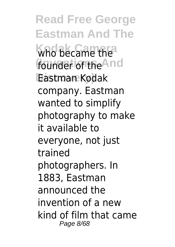**Read Free George Eastman And The** who became the founder of the<sup>And</sup> **Discovery)** Eastman Kodak company. Eastman wanted to simplify photography to make it available to everyone, not just trained photographers. In 1883, Eastman announced the invention of a new kind of film that came Page 8/68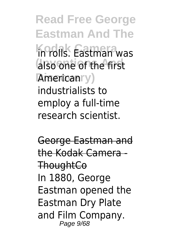**Read Free George Eastman And The Kodak Camera** in rolls. Eastman was **also one of the first Americanry**) industrialists to employ a full-time research scientist.

George Eastman and the Kodak Camera - **ThoughtCo** In 1880, George Eastman opened the Eastman Dry Plate and Film Company. Page 9/68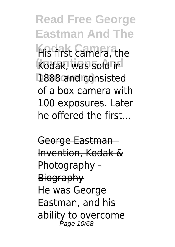**Read Free George Eastman And The King first camera**, the Kodak, was sold in **Discovery)** 1888 and consisted of a box camera with 100 exposures. Later he offered the first...

George Eastman - Invention, Kodak & Photography - **Biography** He was George Eastman, and his ability to overcome Page 10/68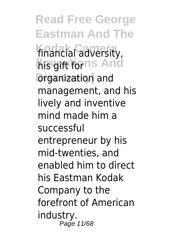**Read Free George Eastman And The** financial adversity, **his gift forns And Diganization** and management, and his lively and inventive mind made him a successful entrepreneur by his mid-twenties, and enabled him to direct his Eastman Kodak Company to the forefront of American industry. Page 11/68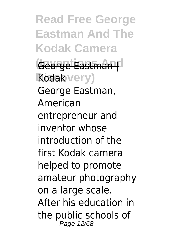**Read Free George Eastman And The Kodak Camera** George Eastman<sup>pl</sup> Kodakvery) George Eastman, American entrepreneur and inventor whose introduction of the first Kodak camera helped to promote amateur photography on a large scale. After his education in the public schools of Page 12/68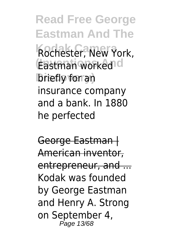**Read Free George Eastman And The Rochester, New York, Eastman worked d Discovery)** briefly for an insurance company and a bank. In 1880 he perfected

George Eastman | American inventor, entrepreneur, and ... Kodak was founded by George Eastman and Henry A. Strong on September 4, Page 13/68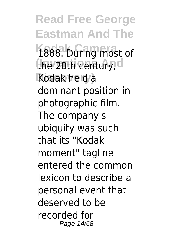**Read Free George Eastman And The** 1888. During most of the 20th century, d Kodak held a dominant position in photographic film. The company's ubiquity was such that its "Kodak moment" tagline entered the common lexicon to describe a personal event that deserved to be recorded for Page 14/68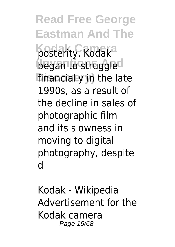**Read Free George Eastman And The** posterity. Rodak<sup>a</sup> began to struggled financially in the late 1990s, as a result of the decline in sales of photographic film and its slowness in moving to digital photography, despite d

Kodak - Wikipedia Advertisement for the Kodak camera Page 15/68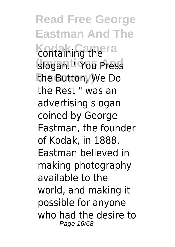**Read Free George Eastman And The** containing the ra **(Inventions And** slogan. " You Press **the Button**, We Do the Rest " was an advertising slogan coined by George Eastman, the founder of Kodak, in 1888. Eastman believed in making photography available to the world, and making it possible for anyone who had the desire to Page 16/68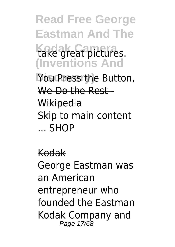**Read Free George Eastman And The** take great pictures. **(Inventions And** You Press the Button, We Do the Rest -Wikipedia Skip to main content ... SHOP

Kodak George Eastman was an American entrepreneur who founded the Eastman Kodak Company and Page 17/68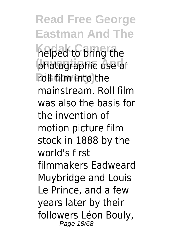**Read Free George Eastman And The Kodak Camera** helped to bring the **photographic use of roll film into the** mainstream. Roll film was also the basis for the invention of motion picture film stock in 1888 by the world's first filmmakers Eadweard Muybridge and Louis Le Prince, and a few years later by their followers Léon Bouly, Page 18/68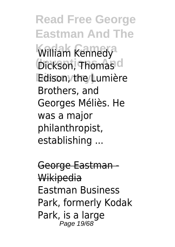**Read Free George Eastman And The** William Kennedy **Dickson, Thomas d Discovery)** Edison, the Lumière Brothers, and Georges Méliès. He was a major philanthropist, establishing ...

George Eastman Wikipedia Eastman Business Park, formerly Kodak Park, is a large Page 19/68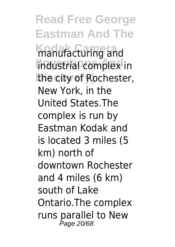**Read Free George Eastman And The Kodak Camera** manufacturing and **(Inventions And** industrial complex in **the city of Rochester,** New York, in the United States.The complex is run by Eastman Kodak and is located 3 miles (5 km) north of downtown Rochester and 4 miles (6 km) south of Lake Ontario.The complex runs parallel to New Page 20/68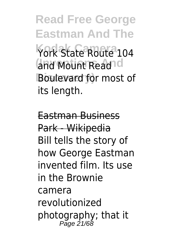**Read Free George Eastman And The** York State Route 104 and Mount Read<sup>od</sup> **Discovery)** Boulevard for most of its length.

Eastman Business Park - Wikipedia Bill tells the story of how George Eastman invented film. Its use in the Brownie camera revolutionized photography; that it Page 21/68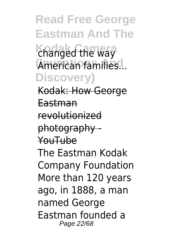**Read Free George Eastman And The** changed the way American families... **Discovery)** Kodak: How George Eastman revolutionized photography - YouTube The Eastman Kodak Company Foundation More than 120 years ago, in 1888, a man named George Eastman founded a Page 22/68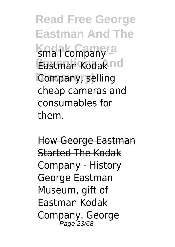**Read Free George Eastman And The** small company<sup>ra</sup> **(Inventions And** Eastman Kodak **Company**, selling cheap cameras and consumables for them.

How George Eastman Started The Kodak Company - History George Eastman Museum, gift of Eastman Kodak Company. George Page 23/68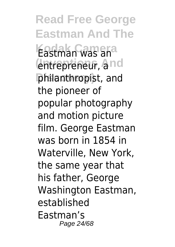**Read Free George Eastman And The** Eastman was an entrepreneur, and **Discovery)** philanthropist, and the pioneer of popular photography and motion picture film. George Eastman was born in 1854 in Waterville, New York, the same year that his father, George Washington Eastman, established Eastman's Page 24/68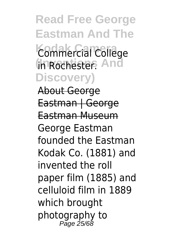**Read Free George Eastman And The Kodak Camera** Commercial College **(Inventions And** in Rochester. **Discovery)** About George Eastman | George Eastman Museum George Eastman founded the Eastman Kodak Co. (1881) and invented the roll paper film (1885) and celluloid film in 1889 which brought photography to Page 25/68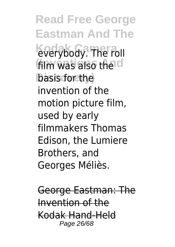**Read Free George Eastman And The** everybody. The roll film was also the d **Discovery)** basis for the invention of the motion picture film, used by early filmmakers Thomas Edison, the Lumiere Brothers, and Georges Méliès.

George Eastman: The Invention of the Kodak Hand-Held Page 26/68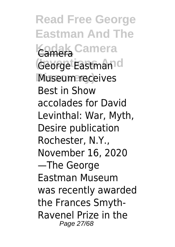**Read Free George Eastman And The Kodak Camera** Camera George Eastman<sup>d</sup> Museum receives Best in Show accolades for David Levinthal: War, Myth, Desire publication Rochester, N.Y., November 16, 2020 —The George Eastman Museum was recently awarded the Frances Smyth-Ravenel Prize in the Page 27/68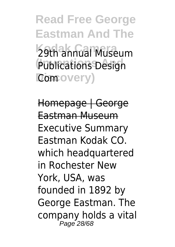**Read Free George Eastman And The** 29th annual Museum **Publications Design Discovery)** Com

Homepage | George Eastman Museum Executive Summary Eastman Kodak CO. which headquartered in Rochester New York, USA, was founded in 1892 by George Eastman. The company holds a vital Page 28/68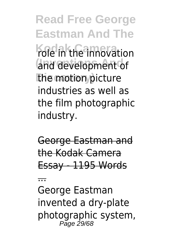**Read Free George Eastman And The** *Kole* in the innovation and development of **the motion picture** industries as well as the film photographic industry.

George Eastman and the Kodak Camera Essay - 1195 Words

...

George Eastman invented a dry-plate photographic system, Page 29/68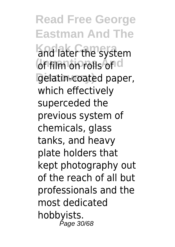**Read Free George Eastman And The Kodak Camera** and later the system **of film on rolls on d Discovery)** gelatin-coated paper, which effectively superceded the previous system of chemicals, glass tanks, and heavy plate holders that kept photography out of the reach of all but professionals and the most dedicated hobbyists. Page 30/68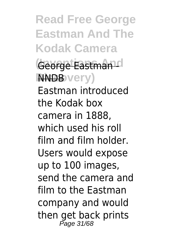**Read Free George Eastman And The Kodak Camera** George Eastman<sup>d</sup>  $N$ **NNDB** very) Eastman introduced the Kodak box camera in 1888, which used his roll film and film holder. Users would expose up to 100 images, send the camera and film to the Eastman company and would then get back prints Page 31/68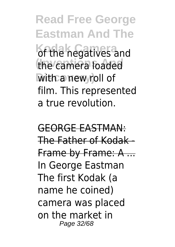**Read Free George Eastman And The** of the negatives and the camera loaded **With a new roll of** film. This represented a true revolution.

GEORGE EASTMAN: The Father of Kodak - Frame by Frame: A ... In George Eastman The first Kodak (a name he coined) camera was placed on the market in Page 32/68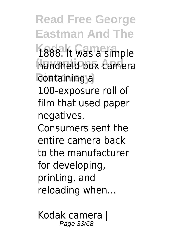**Read Free George Eastman And The** 1888. It was a simple handheld box camera **Containing a** 100-exposure roll of film that used paper negatives. Consumers sent the entire camera back to the manufacturer for developing, printing, and reloading when…

Kodak camera | Page 33/68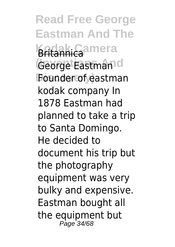**Read Free George Eastman And The Kadak Camera** George Eastman<sup>d</sup> **Discovery)** Founder of eastman kodak company In 1878 Eastman had planned to take a trip to Santa Domingo. He decided to document his trip but the photography equipment was very bulky and expensive. Eastman bought all the equipment but Page 34/68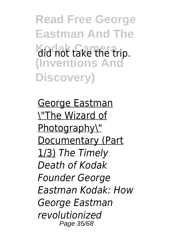**Read Free George Eastman And The Kodak Camera** did not take the trip. **(Inventions And Discovery)**

George Eastman \"The Wizard of Photography\" Documentary (Part 1/3) *The Timely Death of Kodak Founder George Eastman Kodak: How George Eastman revolutionized* Page 35/68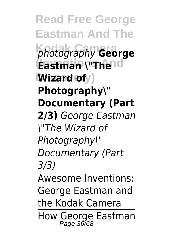**Read Free George Eastman And The Kodak Camera** *photography* **George Eastman \"Thend**  $W$ **izard of***y*) **Photography\" Documentary (Part 2/3)** *George Eastman \"The Wizard of Photography\" Documentary (Part 3/3)*

Awesome Inventions: George Eastman and the Kodak Camera How George Eastman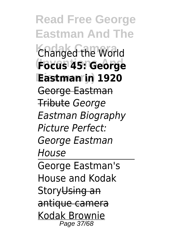**Read Free George Eastman And The Changed the World (Inventions And Focus 45: George Discovery) Eastman in 1920** George Eastman Tribute *George Eastman Biography Picture Perfect: George Eastman House* George Eastman's House and Kodak Story<del>Using an</del> antique camera Kodak Brownie Page 37/68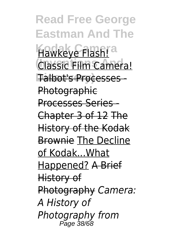**Read Free George Eastman And The** Hawkeye Flash!<sup>a</sup> **Classic Film Camera! Discovery)** Talbot's Processes - **Photographic** Processes Series - Chapter 3 of 12 The History of the Kodak Brownie The Decline of Kodak...What Happened? A Brief History of Photography *Camera: A History of Photography from* Page 38/68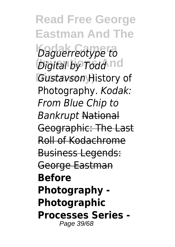**Read Free George Eastman And The Kodak Camera** *Daguerreotype to <i>Digital by Todd* nd Gustavson History of Photography. *Kodak: From Blue Chip to Bankrupt* National Geographic: The Last Roll of Kodachrome Business Legends: George Eastman **Before Photography - Photographic Processes Series -** Page 39/68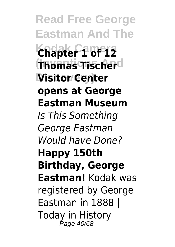**Read Free George Eastman And The Kodak Camera Chapter 1 of 12 (Inventions And Thomas Tischer Discovery) Visitor Center opens at George Eastman Museum** *Is This Something George Eastman Would have Done?* **Happy 150th Birthday, George Eastman!** Kodak was registered by George Eastman in 1888 | Today in History Page 40/68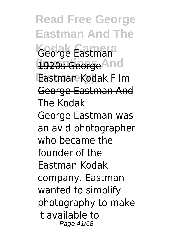**Read Free George Eastman And The Kodak Camera** George Eastman **(Inventions And** 1920s George **Discovery)** Eastman Kodak Film George Eastman And The Kodak George Eastman was an avid photographer who became the founder of the Eastman Kodak company. Eastman wanted to simplify photography to make it available to Page 41/68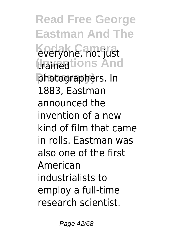**Read Free George Eastman And The Kodak Camera** everyone, not just **(trainentions And Discovery)** photographers. In 1883, Eastman announced the invention of a new kind of film that came in rolls. Eastman was also one of the first American industrialists to employ a full-time research scientist.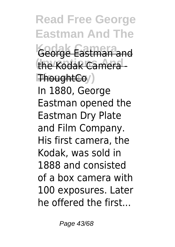**Read Free George Eastman And The** George Eastman and the Kodak Camera - $\mathbb{F}$ houghtCo<sub>/</sub>) In 1880, George Eastman opened the Eastman Dry Plate and Film Company. His first camera, the Kodak, was sold in 1888 and consisted of a box camera with 100 exposures. Later he offered the first...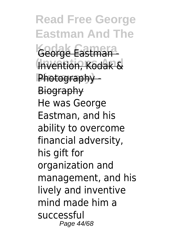**Read Free George Eastman And The Kodak Camera** George Eastman - **Invention, Kodak &** Photography -**Biography** He was George Eastman, and his ability to overcome financial adversity, his gift for organization and management, and his lively and inventive mind made him a successful Page 44/68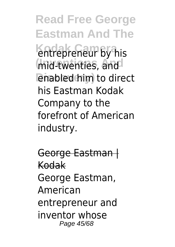**Read Free George Eastman And The** entrepreneur by his mid-twenties, and **Discovery)** enabled him to direct his Eastman Kodak Company to the forefront of American industry.

George Eastman | Kodak George Eastman, American entrepreneur and inventor whose Page 45/68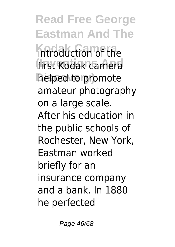**Read Free George Eastman And The** introduction of the first Kodak camera **Discovery)** helped to promote amateur photography on a large scale. After his education in the public schools of Rochester, New York, Eastman worked briefly for an insurance company and a bank. In 1880 he perfected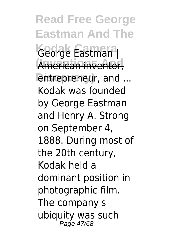**Read Free George Eastman And The Kodak Camera** George Eastman | American inventor, entrepreneur, and ... Kodak was founded by George Eastman and Henry A. Strong on September 4, 1888. During most of the 20th century, Kodak held a dominant position in photographic film. The company's ubiquity was such Page 47/68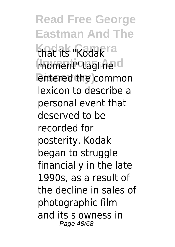**Read Free George Eastman And The** that its "Kodak<sup>ra</sup> moment ctagline d **Lentered the common** lexicon to describe a personal event that deserved to be recorded for posterity. Kodak began to struggle financially in the late 1990s, as a result of the decline in sales of photographic film and its slowness in Page 48/68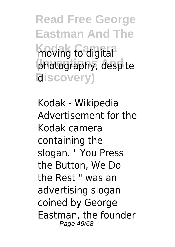**Read Free George Eastman And The** moving to digital photography, despite **Discovery)** d

Kodak - Wikipedia Advertisement for the Kodak camera containing the slogan. " You Press the Button, We Do the Rest " was an advertising slogan coined by George Eastman, the founder Page 49/68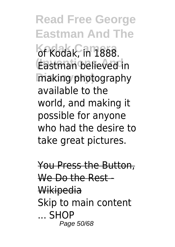**Read Free George Eastman And The** of Kodak, in 1888. **(Inventions And** Eastman believed in **Discovery)** making photography available to the world, and making it possible for anyone who had the desire to take great pictures.

You Press the Button, We Do the Rest -Wikipedia Skip to main content ... SHOP Page 50/68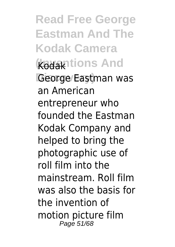**Read Free George Eastman And The Kodak Camera koda**ntions And George/Eastman was an American entrepreneur who founded the Eastman Kodak Company and helped to bring the photographic use of roll film into the mainstream. Roll film was also the basis for the invention of motion picture film Page 51/68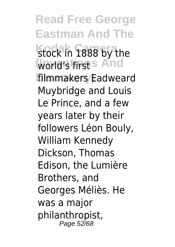**Read Free George Eastman And The** stock in 1888 by the **world's first S And filmmakers/Eadweard** Muybridge and Louis Le Prince, and a few years later by their followers Léon Bouly, William Kennedy Dickson, Thomas Edison, the Lumière Brothers, and Georges Méliès. He was a major philanthropist, Page 52/68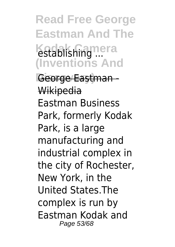**Read Free George Eastman And The** establishing ... **(Inventions And**

George Eastman -Wikipedia Eastman Business Park, formerly Kodak Park, is a large manufacturing and industrial complex in the city of Rochester, New York, in the United States.The complex is run by Eastman Kodak and Page 53/68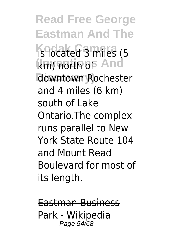**Read Free George Eastman And The Ks** located 3 miles (5 km) north of And **Discovery)** downtown Rochester and 4 miles (6 km) south of Lake Ontario.The complex runs parallel to New York State Route 104 and Mount Read Boulevard for most of its length.

Eastman Business Park - Wikipedia Page 54/68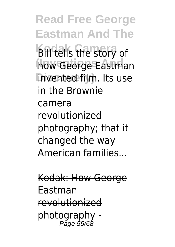**Read Free George Eastman And The Bill tells the story of how George Eastman Discovery)** invented film. Its use in the Brownie camera revolutionized photography; that it changed the way American families...

Kodak: How George Eastman revolutionized photography - Page 55/68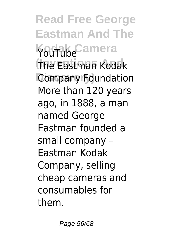**Read Free George Eastman And The Kodak Camera** YouTube **(Inventions And** The Eastman Kodak **Discovery)** Company Foundation More than 120 years ago, in 1888, a man named George Eastman founded a small company – Eastman Kodak Company, selling cheap cameras and consumables for them.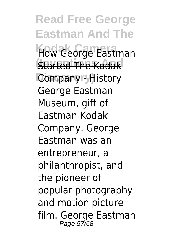**Read Free George Eastman And The How George Eastman Started The Kodak Company + History** George Eastman Museum, gift of Eastman Kodak Company. George Eastman was an entrepreneur, a philanthropist, and the pioneer of popular photography and motion picture film. George Eastman Page 57/68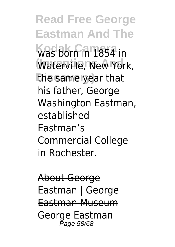**Read Free George Eastman And The** was born in 1854 in **Waterville, New York, Discovery)** the same year that his father, George Washington Eastman, established Eastman's Commercial College in Rochester.

About George Eastman | George Eastman Museum George Eastman Page 58/68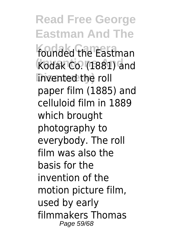**Read Free George Eastman And The** founded the Eastman **Kodak Co. (1881) and linvented the roll** paper film (1885) and celluloid film in 1889 which brought photography to everybody. The roll film was also the basis for the invention of the motion picture film, used by early filmmakers Thomas Page 59/68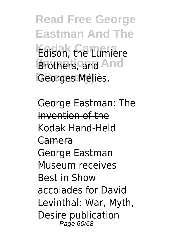**Read Free George Eastman And The Edison, the Lumiere Brothers, and And** Georges Méliès.

George Eastman: The Invention of the Kodak Hand-Held Camera George Eastman Museum receives Best in Show accolades for David Levinthal: War, Myth, Desire publication Page 60/68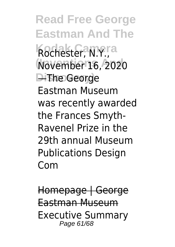**Read Free George Eastman And The Kodak Camera** Rochester, N.Y., **(Inventions And** November 16, 2020 **Discovery)** —The George Eastman Museum was recently awarded the Frances Smyth-Ravenel Prize in the 29th annual Museum Publications Design Com

Homepage | George Eastman Museum Executive Summary Page 61/68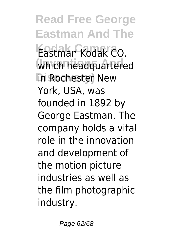**Read Free George Eastman And The Kodak Camera** Eastman Kodak CO. **(Inventions And** which headquartered **In Rochester New** York, USA, was founded in 1892 by George Eastman. The company holds a vital role in the innovation and development of the motion picture industries as well as the film photographic industry.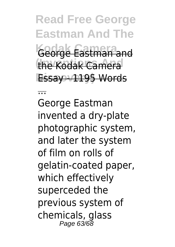**Read Free George Eastman And The** George Eastman and the Kodak Camera **Essay + 195 Words** 

...

George Eastman invented a dry-plate photographic system, and later the system of film on rolls of gelatin-coated paper, which effectively superceded the previous system of chemicals, glass Page 63/68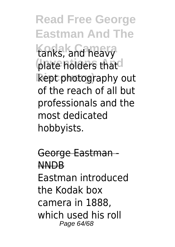**Read Free George Eastman And The** tanks, and heavy plate holders that<sup>d</sup> **Discovery)** kept photography out of the reach of all but professionals and the most dedicated hobbyists.

George Eastman - NNDB Eastman introduced the Kodak box camera in 1888, which used his roll Page 64/68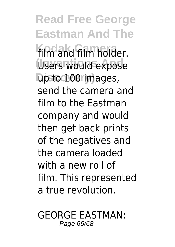**Read Free George Eastman And The** film and film holder. Users would expose **Discovery)** up to 100 images, send the camera and film to the Eastman company and would then get back prints of the negatives and the camera loaded with a new roll of film. This represented a true revolution.

GEORGE EASTMAN: Page 65/68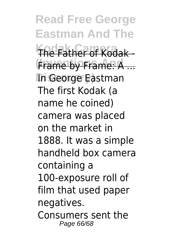**Read Free George Eastman And The The Father of Kodak -(Inventions And** Frame by Frame: A ... **Discovery)** In George Eastman The first Kodak (a name he coined) camera was placed on the market in 1888. It was a simple handheld box camera containing a 100-exposure roll of film that used paper negatives. Consumers sent the Page 66/68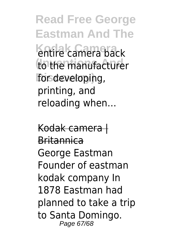**Read Free George Eastman And The** entire camera back to the manufacturer for developing, printing, and reloading when…

Kodak camera | Britannica George Eastman Founder of eastman kodak company In 1878 Eastman had planned to take a trip to Santa Domingo. Page 67/68